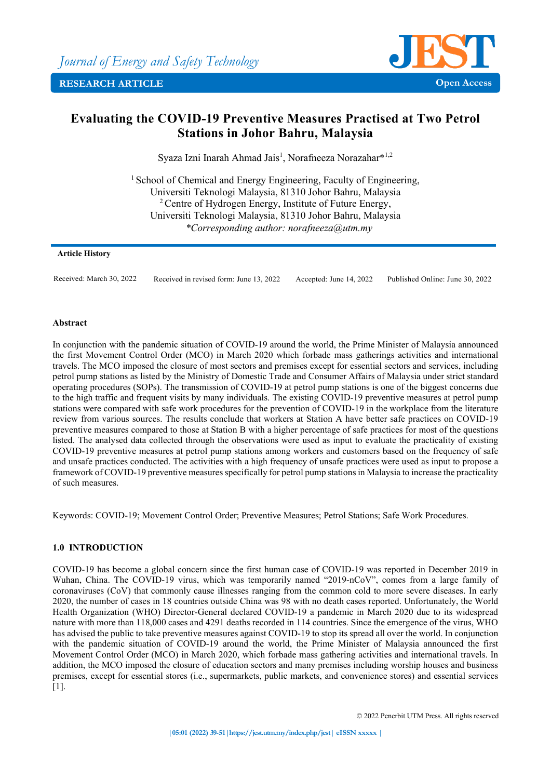

# **Evaluating the COVID-19 Preventive Measures Practised at Two Petrol Stations in Johor Bahru, Malaysia**

Syaza Izni Inarah Ahmad Jais<sup>1</sup>, Norafneeza Norazahar\*<sup>1,2</sup>

<sup>1</sup> School of Chemical and Energy Engineering, Faculty of Engineering, Universiti Teknologi Malaysia, 81310 Johor Bahru, Malaysia  $2^2$  Centre of Hydrogen Energy, Institute of Future Energy, Universiti Teknologi Malaysia, 81310 Johor Bahru, Malaysia *\*Corresponding author: norafneeza@utm.my*

## **Article History**

Received: March 30, 2022 Received in revised form: June 13, 2022 Accepted: June 14, 2022 Published Online: June 30, 2022

## **Abstract**

In conjunction with the pandemic situation of COVID-19 around the world, the Prime Minister of Malaysia announced the first Movement Control Order (MCO) in March 2020 which forbade mass gatherings activities and international travels. The MCO imposed the closure of most sectors and premises except for essential sectors and services, including petrol pump stations as listed by the Ministry of Domestic Trade and Consumer Affairs of Malaysia under strict standard operating procedures (SOPs). The transmission of COVID-19 at petrol pump stations is one of the biggest concerns due to the high traffic and frequent visits by many individuals. The existing COVID-19 preventive measures at petrol pump stations were compared with safe work procedures for the prevention of COVID-19 in the workplace from the literature review from various sources. The results conclude that workers at Station A have better safe practices on COVID-19 preventive measures compared to those at Station B with a higher percentage of safe practices for most of the questions listed. The analysed data collected through the observations were used as input to evaluate the practicality of existing COVID-19 preventive measures at petrol pump stations among workers and customers based on the frequency of safe and unsafe practices conducted. The activities with a high frequency of unsafe practices were used as input to propose a framework of COVID-19 preventive measures specifically for petrol pump stations in Malaysia to increase the practicality of such measures.

Keywords: COVID-19; Movement Control Order; Preventive Measures; Petrol Stations; Safe Work Procedures.

## **1.0 INTRODUCTION**

COVID-19 has become a global concern since the first human case of COVID-19 was reported in December 2019 in Wuhan, China. The COVID-19 virus, which was temporarily named "2019-nCoV", comes from a large family of coronaviruses (CoV) that commonly cause illnesses ranging from the common cold to more severe diseases. In early 2020, the number of cases in 18 countries outside China was 98 with no death cases reported. Unfortunately, the World Health Organization (WHO) Director-General declared COVID-19 a pandemic in March 2020 due to its widespread nature with more than 118,000 cases and 4291 deaths recorded in 114 countries. Since the emergence of the virus, WHO has advised the public to take preventive measures against COVID-19 to stop its spread all over the world. In conjunction with the pandemic situation of COVID-19 around the world, the Prime Minister of Malaysia announced the first Movement Control Order (MCO) in March 2020, which forbade mass gathering activities and international travels. In addition, the MCO imposed the closure of education sectors and many premises including worship houses and business premises, except for essential stores (i.e., supermarkets, public markets, and convenience stores) and essential services [1].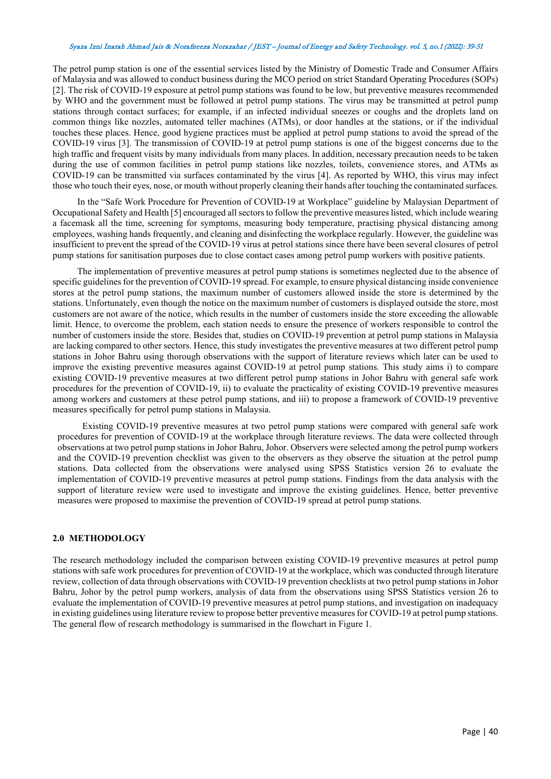The petrol pump station is one of the essential services listed by the Ministry of Domestic Trade and Consumer Affairs of Malaysia and was allowed to conduct business during the MCO period on strict Standard Operating Procedures (SOPs) [2]. The risk of COVID-19 exposure at petrol pump stations was found to be low, but preventive measures recommended by WHO and the government must be followed at petrol pump stations. The virus may be transmitted at petrol pump stations through contact surfaces; for example, if an infected individual sneezes or coughs and the droplets land on common things like nozzles, automated teller machines (ATMs), or door handles at the stations, or if the individual touches these places. Hence, good hygiene practices must be applied at petrol pump stations to avoid the spread of the COVID-19 virus [3]. The transmission of COVID-19 at petrol pump stations is one of the biggest concerns due to the high traffic and frequent visits by many individuals from many places. In addition, necessary precaution needs to be taken during the use of common facilities in petrol pump stations like nozzles, toilets, convenience stores, and ATMs as COVID-19 can be transmitted via surfaces contaminated by the virus [4]. As reported by WHO, this virus may infect those who touch their eyes, nose, or mouth without properly cleaning their hands after touching the contaminated surfaces.

In the "Safe Work Procedure for Prevention of COVID-19 at Workplace" guideline by Malaysian Department of Occupational Safety and Health [5] encouraged all sectors to follow the preventive measures listed, which include wearing a facemask all the time, screening for symptoms, measuring body temperature, practising physical distancing among employees, washing hands frequently, and cleaning and disinfecting the workplace regularly. However, the guideline was insufficient to prevent the spread of the COVID-19 virus at petrol stations since there have been several closures of petrol pump stations for sanitisation purposes due to close contact cases among petrol pump workers with positive patients.

The implementation of preventive measures at petrol pump stations is sometimes neglected due to the absence of specific guidelines for the prevention of COVID-19 spread. For example, to ensure physical distancing inside convenience stores at the petrol pump stations, the maximum number of customers allowed inside the store is determined by the stations. Unfortunately, even though the notice on the maximum number of customers is displayed outside the store, most customers are not aware of the notice, which results in the number of customers inside the store exceeding the allowable limit. Hence, to overcome the problem, each station needs to ensure the presence of workers responsible to control the number of customers inside the store. Besides that, studies on COVID-19 prevention at petrol pump stations in Malaysia are lacking compared to other sectors. Hence, this study investigates the preventive measures at two different petrol pump stations in Johor Bahru using thorough observations with the support of literature reviews which later can be used to improve the existing preventive measures against COVID-19 at petrol pump stations. This study aims i) to compare existing COVID-19 preventive measures at two different petrol pump stations in Johor Bahru with general safe work procedures for the prevention of COVID-19, ii) to evaluate the practicality of existing COVID-19 preventive measures among workers and customers at these petrol pump stations, and iii) to propose a framework of COVID-19 preventive measures specifically for petrol pump stations in Malaysia.

Existing COVID-19 preventive measures at two petrol pump stations were compared with general safe work procedures for prevention of COVID-19 at the workplace through literature reviews. The data were collected through observations at two petrol pump stations in Johor Bahru, Johor. Observers were selected among the petrol pump workers and the COVID-19 prevention checklist was given to the observers as they observe the situation at the petrol pump stations. Data collected from the observations were analysed using SPSS Statistics version 26 to evaluate the implementation of COVID-19 preventive measures at petrol pump stations. Findings from the data analysis with the support of literature review were used to investigate and improve the existing guidelines. Hence, better preventive measures were proposed to maximise the prevention of COVID-19 spread at petrol pump stations.

## **2.0 METHODOLOGY**

The research methodology included the comparison between existing COVID-19 preventive measures at petrol pump stations with safe work procedures for prevention of COVID-19 at the workplace, which was conducted through literature review, collection of data through observations with COVID-19 prevention checklists at two petrol pump stations in Johor Bahru, Johor by the petrol pump workers, analysis of data from the observations using SPSS Statistics version 26 to evaluate the implementation of COVID-19 preventive measures at petrol pump stations, and investigation on inadequacy in existing guidelines using literature review to propose better preventive measures for COVID-19 at petrol pump stations. The general flow of research methodology is summarised in the flowchart in Figure 1.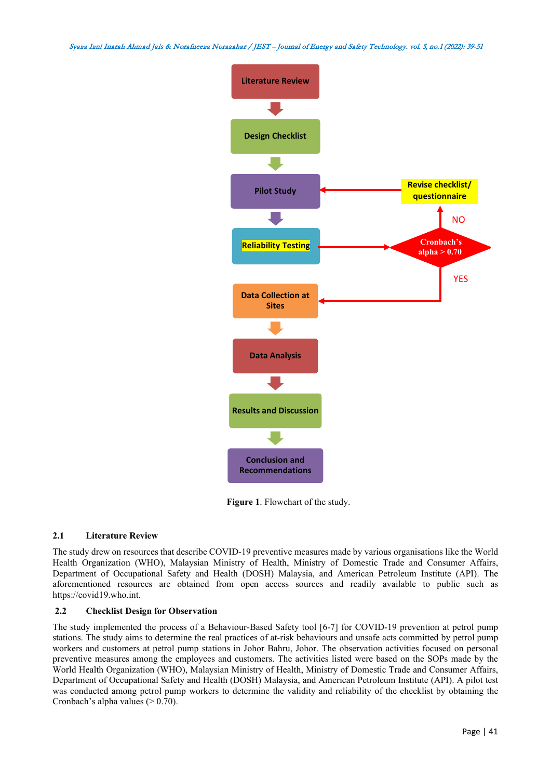

**Figure 1**. Flowchart of the study.

## **2.1 Literature Review**

The study drew on resources that describe COVID-19 preventive measures made by various organisations like the World Health Organization (WHO), Malaysian Ministry of Health, Ministry of Domestic Trade and Consumer Affairs, Department of Occupational Safety and Health (DOSH) Malaysia, and American Petroleum Institute (API). The aforementioned resources are obtained from open access sources and readily available to public such as https://covid19.who.int.

## **2.2 Checklist Design for Observation**

The study implemented the process of a Behaviour-Based Safety tool [6-7] for COVID-19 prevention at petrol pump stations. The study aims to determine the real practices of at-risk behaviours and unsafe acts committed by petrol pump workers and customers at petrol pump stations in Johor Bahru, Johor. The observation activities focused on personal preventive measures among the employees and customers. The activities listed were based on the SOPs made by the World Health Organization (WHO), Malaysian Ministry of Health, Ministry of Domestic Trade and Consumer Affairs, Department of Occupational Safety and Health (DOSH) Malaysia, and American Petroleum Institute (API). A pilot test was conducted among petrol pump workers to determine the validity and reliability of the checklist by obtaining the Cronbach's alpha values  $(> 0.70)$ .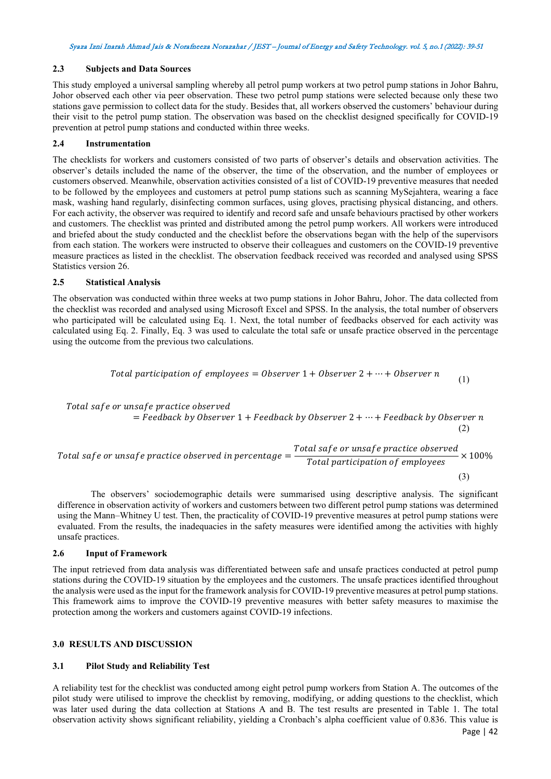## **2.3 Subjects and Data Sources**

This study employed a universal sampling whereby all petrol pump workers at two petrol pump stations in Johor Bahru, Johor observed each other via peer observation. These two petrol pump stations were selected because only these two stations gave permission to collect data for the study. Besides that, all workers observed the customers' behaviour during their visit to the petrol pump station. The observation was based on the checklist designed specifically for COVID-19 prevention at petrol pump stations and conducted within three weeks.

## **2.4 Instrumentation**

The checklists for workers and customers consisted of two parts of observer's details and observation activities. The observer's details included the name of the observer, the time of the observation, and the number of employees or customers observed. Meanwhile, observation activities consisted of a list of COVID-19 preventive measures that needed to be followed by the employees and customers at petrol pump stations such as scanning MySejahtera, wearing a face mask, washing hand regularly, disinfecting common surfaces, using gloves, practising physical distancing, and others. For each activity, the observer was required to identify and record safe and unsafe behaviours practised by other workers and customers. The checklist was printed and distributed among the petrol pump workers. All workers were introduced and briefed about the study conducted and the checklist before the observations began with the help of the supervisors from each station. The workers were instructed to observe their colleagues and customers on the COVID-19 preventive measure practices as listed in the checklist. The observation feedback received was recorded and analysed using SPSS Statistics version 26.

## **2.5 Statistical Analysis**

The observation was conducted within three weeks at two pump stations in Johor Bahru, Johor. The data collected from the checklist was recorded and analysed using Microsoft Excel and SPSS. In the analysis, the total number of observers who participated will be calculated using Eq. 1. Next, the total number of feedbacks observed for each activity was calculated using Eq. 2. Finally, Eq. 3 was used to calculate the total safe or unsafe practice observed in the percentage using the outcome from the previous two calculations.

Total participation of employees =  $0$ bserver 1 +  $0$ bserver 2 +  $\cdots$  +  $0$ bserver n Total safe or unsafe practice observed (1)

 $=$  Feedback by Observer  $1 +$  Feedback by Observer  $2 + \cdots +$  Feedback by Observer n

Total safe or unsafe practice observed in percentage  $=\frac{\text{Total safe or unsafe practice observed}}{\text{Total participation of employees}}$ × 100% (3)

The observers' sociodemographic details were summarised using descriptive analysis. The significant difference in observation activity of workers and customers between two different petrol pump stations was determined using the Mann–Whitney U test. Then, the practicality of COVID-19 preventive measures at petrol pump stations were evaluated. From the results, the inadequacies in the safety measures were identified among the activities with highly unsafe practices.

## **2.6 Input of Framework**

The input retrieved from data analysis was differentiated between safe and unsafe practices conducted at petrol pump stations during the COVID-19 situation by the employees and the customers. The unsafe practices identified throughout the analysis were used as the input for the framework analysis for COVID-19 preventive measures at petrol pump stations. This framework aims to improve the COVID-19 preventive measures with better safety measures to maximise the protection among the workers and customers against COVID-19 infections.

## **3.0 RESULTS AND DISCUSSION**

## **3.1 Pilot Study and Reliability Test**

A reliability test for the checklist was conducted among eight petrol pump workers from Station A. The outcomes of the pilot study were utilised to improve the checklist by removing, modifying, or adding questions to the checklist, which was later used during the data collection at Stations A and B. The test results are presented in Table 1. The total observation activity shows significant reliability, yielding a Cronbach's alpha coefficient value of 0.836. This value is

(2)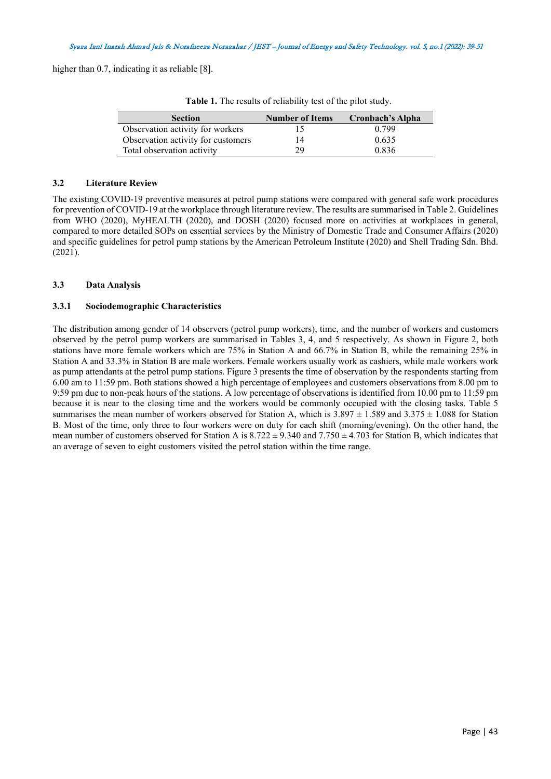higher than 0.7, indicating it as reliable [8].

| <b>Section</b>                     | <b>Number of Items</b> | <b>Cronbach's Alpha</b> |
|------------------------------------|------------------------|-------------------------|
| Observation activity for workers   |                        | 0.799                   |
| Observation activity for customers |                        | 0.635                   |
| Total observation activity         | 29                     | 0.836                   |

**Table 1.** The results of reliability test of the pilot study.

## **3.2 Literature Review**

The existing COVID-19 preventive measures at petrol pump stations were compared with general safe work procedures for prevention of COVID-19 at the workplace through literature review. The results are summarised in Table 2. Guidelines from WHO (2020), MyHEALTH (2020), and DOSH (2020) focused more on activities at workplaces in general, compared to more detailed SOPs on essential services by the Ministry of Domestic Trade and Consumer Affairs (2020) and specific guidelines for petrol pump stations by the American Petroleum Institute (2020) and Shell Trading Sdn. Bhd. (2021).

## **3.3 Data Analysis**

## **3.3.1 Sociodemographic Characteristics**

The distribution among gender of 14 observers (petrol pump workers), time, and the number of workers and customers observed by the petrol pump workers are summarised in Tables 3, 4, and 5 respectively. As shown in Figure 2, both stations have more female workers which are 75% in Station A and 66.7% in Station B, while the remaining 25% in Station A and 33.3% in Station B are male workers. Female workers usually work as cashiers, while male workers work as pump attendants at the petrol pump stations. Figure 3 presents the time of observation by the respondents starting from 6.00 am to 11:59 pm. Both stations showed a high percentage of employees and customers observations from 8.00 pm to 9:59 pm due to non-peak hours of the stations. A low percentage of observations is identified from 10.00 pm to 11:59 pm because it is near to the closing time and the workers would be commonly occupied with the closing tasks. Table 5 summarises the mean number of workers observed for Station A, which is  $3.897 \pm 1.589$  and  $3.375 \pm 1.088$  for Station B. Most of the time, only three to four workers were on duty for each shift (morning/evening). On the other hand, the mean number of customers observed for Station A is  $8.722 \pm 9.340$  and  $7.750 \pm 4.703$  for Station B, which indicates that an average of seven to eight customers visited the petrol station within the time range.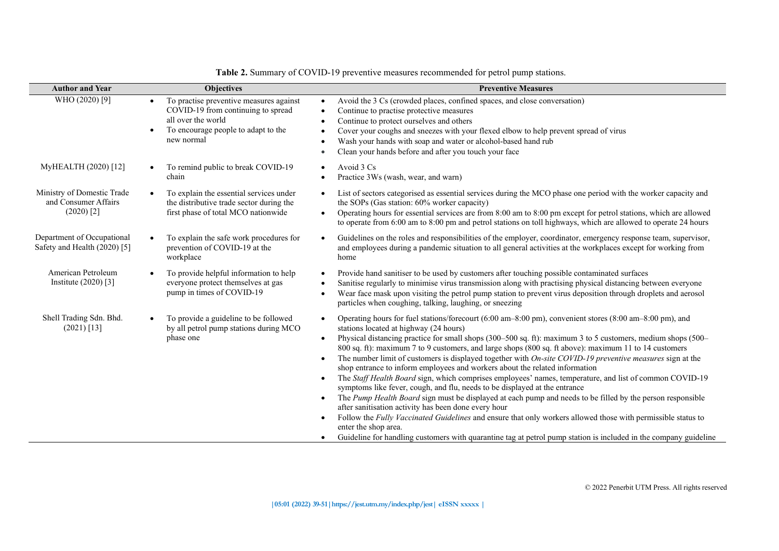| <b>Author and Year</b>                                             | <b>Objectives</b>                                                                                                                                                     | <b>Preventive Measures</b>                                                                                                                                                                                                                                                                                                                                                                                                                                                                                                                                                                                                                                                                                                                                                                                                                                                                                                                                                                                                                                                                                                                                                                                                                                        |
|--------------------------------------------------------------------|-----------------------------------------------------------------------------------------------------------------------------------------------------------------------|-------------------------------------------------------------------------------------------------------------------------------------------------------------------------------------------------------------------------------------------------------------------------------------------------------------------------------------------------------------------------------------------------------------------------------------------------------------------------------------------------------------------------------------------------------------------------------------------------------------------------------------------------------------------------------------------------------------------------------------------------------------------------------------------------------------------------------------------------------------------------------------------------------------------------------------------------------------------------------------------------------------------------------------------------------------------------------------------------------------------------------------------------------------------------------------------------------------------------------------------------------------------|
| WHO (2020) [9]                                                     | To practise preventive measures against<br>$\bullet$<br>COVID-19 from continuing to spread<br>all over the world<br>To encourage people to adapt to the<br>new normal | Avoid the 3 Cs (crowded places, confined spaces, and close conversation)<br>$\bullet$<br>Continue to practise protective measures<br>$\bullet$<br>Continue to protect ourselves and others<br>$\bullet$<br>Cover your coughs and sneezes with your flexed elbow to help prevent spread of virus<br>Wash your hands with soap and water or alcohol-based hand rub<br>Clean your hands before and after you touch your face<br>$\bullet$                                                                                                                                                                                                                                                                                                                                                                                                                                                                                                                                                                                                                                                                                                                                                                                                                            |
| MyHEALTH (2020) [12]                                               | To remind public to break COVID-19<br>chain                                                                                                                           | Avoid 3 Cs<br>Practice 3Ws (wash, wear, and warn)                                                                                                                                                                                                                                                                                                                                                                                                                                                                                                                                                                                                                                                                                                                                                                                                                                                                                                                                                                                                                                                                                                                                                                                                                 |
| Ministry of Domestic Trade<br>and Consumer Affairs<br>$(2020)$ [2] | To explain the essential services under<br>the distributive trade sector during the<br>first phase of total MCO nationwide                                            | List of sectors categorised as essential services during the MCO phase one period with the worker capacity and<br>the SOPs (Gas station: 60% worker capacity)<br>Operating hours for essential services are from 8:00 am to 8:00 pm except for petrol stations, which are allowed<br>$\bullet$<br>to operate from 6:00 am to 8:00 pm and petrol stations on toll highways, which are allowed to operate 24 hours                                                                                                                                                                                                                                                                                                                                                                                                                                                                                                                                                                                                                                                                                                                                                                                                                                                  |
| Department of Occupational<br>Safety and Health (2020) [5]         | To explain the safe work procedures for<br>prevention of COVID-19 at the<br>workplace                                                                                 | Guidelines on the roles and responsibilities of the employer, coordinator, emergency response team, supervisor,<br>$\bullet$<br>and employees during a pandemic situation to all general activities at the workplaces except for working from<br>home                                                                                                                                                                                                                                                                                                                                                                                                                                                                                                                                                                                                                                                                                                                                                                                                                                                                                                                                                                                                             |
| American Petroleum<br>Institute $(2020)$ [3]                       | To provide helpful information to help<br>everyone protect themselves at gas<br>pump in times of COVID-19                                                             | Provide hand sanitiser to be used by customers after touching possible contaminated surfaces<br>$\bullet$<br>Sanitise regularly to minimise virus transmission along with practising physical distancing between everyone<br>Wear face mask upon visiting the petrol pump station to prevent virus deposition through droplets and aerosol<br>$\bullet$<br>particles when coughing, talking, laughing, or sneezing                                                                                                                                                                                                                                                                                                                                                                                                                                                                                                                                                                                                                                                                                                                                                                                                                                                |
| Shell Trading Sdn. Bhd.<br>$(2021)$ [13]                           | To provide a guideline to be followed<br>by all petrol pump stations during MCO<br>phase one                                                                          | Operating hours for fuel stations/forecourt (6:00 am–8:00 pm), convenient stores (8:00 am–8:00 pm), and<br>$\bullet$<br>stations located at highway (24 hours)<br>Physical distancing practice for small shops (300–500 sq. ft): maximum 3 to 5 customers, medium shops (500–<br>800 sq. ft): maximum 7 to 9 customers, and large shops (800 sq. ft above): maximum 11 to 14 customers<br>The number limit of customers is displayed together with On-site COVID-19 preventive measures sign at the<br>$\bullet$<br>shop entrance to inform employees and workers about the related information<br>The Staff Health Board sign, which comprises employees' names, temperature, and list of common COVID-19<br>$\bullet$<br>symptoms like fever, cough, and flu, needs to be displayed at the entrance<br>The Pump Health Board sign must be displayed at each pump and needs to be filled by the person responsible<br>$\bullet$<br>after sanitisation activity has been done every hour<br>Follow the Fully Vaccinated Guidelines and ensure that only workers allowed those with permissible status to<br>$\bullet$<br>enter the shop area.<br>Guideline for handling customers with quarantine tag at petrol pump station is included in the company guideline |

**Table 2.** Summary of COVID-19 preventive measures recommended for petrol pump stations.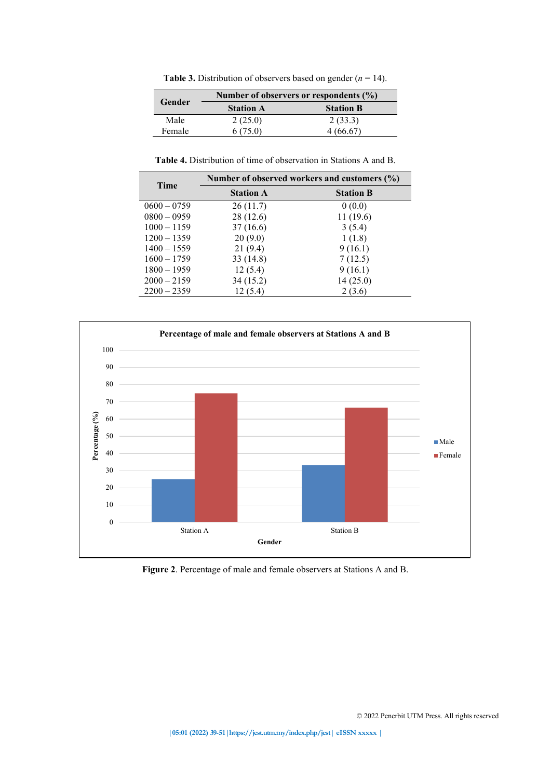**Table 3.** Distribution of observers based on gender  $(n = 14)$ .

|        | Number of observers or respondents $(\% )$ |                  |  |  |  |
|--------|--------------------------------------------|------------------|--|--|--|
| Gender | <b>Station A</b>                           | <b>Station B</b> |  |  |  |
| Male   | 2(25.0)                                    | 2(33.3)          |  |  |  |
| Female | 6(75.0)                                    | 4(66.67)         |  |  |  |

**Table 4.** Distribution of time of observation in Stations A and B.

|               |                  | Number of observed workers and customers (%) |  |  |  |
|---------------|------------------|----------------------------------------------|--|--|--|
| <b>Time</b>   | <b>Station A</b> | <b>Station B</b>                             |  |  |  |
| $0600 - 0759$ | 26(11.7)         | 0(0.0)                                       |  |  |  |
| $0800 - 0959$ | 28(12.6)         | 11(19.6)                                     |  |  |  |
| $1000 - 1159$ | 37(16.6)         | 3(5.4)                                       |  |  |  |
| $1200 - 1359$ | 20(9.0)          | 1(1.8)                                       |  |  |  |
| $1400 - 1559$ | 21(9.4)          | 9(16.1)                                      |  |  |  |
| $1600 - 1759$ | 33(14.8)         | 7(12.5)                                      |  |  |  |
| $1800 - 1959$ | 12(5.4)          | 9(16.1)                                      |  |  |  |
| $2000 - 2159$ | 34 (15.2)        | 14(25.0)                                     |  |  |  |
| $2200 - 2359$ | 12 (5.4)         | 2(3.6)                                       |  |  |  |



**Figure 2**. Percentage of male and female observers at Stations A and B.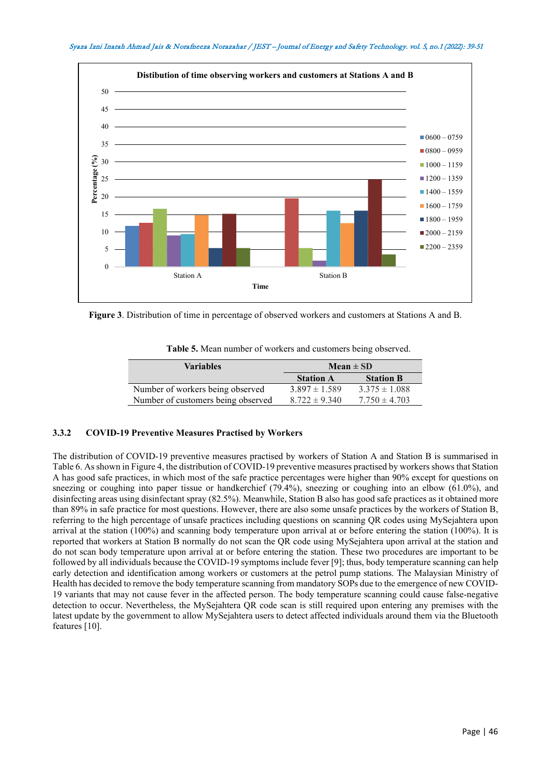

**Figure 3**. Distribution of time in percentage of observed workers and customers at Stations A and B.

| <b>Table 5.</b> Mean number of workers and customers being observed. |  |  |
|----------------------------------------------------------------------|--|--|
|----------------------------------------------------------------------|--|--|

| <b>Variables</b>                   | $Mean \pm SD$     |                   |  |
|------------------------------------|-------------------|-------------------|--|
|                                    | <b>Station A</b>  | <b>Station B</b>  |  |
| Number of workers being observed   | $3.897 \pm 1.589$ | $3.375 \pm 1.088$ |  |
| Number of customers being observed | $8.722 \pm 9.340$ | $7.750 \pm 4.703$ |  |

#### **3.3.2 COVID-19 Preventive Measures Practised by Workers**

The distribution of COVID-19 preventive measures practised by workers of Station A and Station B is summarised in Table 6. As shown in Figure 4, the distribution of COVID-19 preventive measures practised by workers shows that Station A has good safe practices, in which most of the safe practice percentages were higher than 90% except for questions on sneezing or coughing into paper tissue or handkerchief (79.4%), sneezing or coughing into an elbow (61.0%), and disinfecting areas using disinfectant spray (82.5%). Meanwhile, Station B also has good safe practices as it obtained more than 89% in safe practice for most questions. However, there are also some unsafe practices by the workers of Station B, referring to the high percentage of unsafe practices including questions on scanning QR codes using MySejahtera upon arrival at the station (100%) and scanning body temperature upon arrival at or before entering the station (100%). It is reported that workers at Station B normally do not scan the QR code using MySejahtera upon arrival at the station and do not scan body temperature upon arrival at or before entering the station. These two procedures are important to be followed by all individuals because the COVID-19 symptoms include fever [9]; thus, body temperature scanning can help early detection and identification among workers or customers at the petrol pump stations. The Malaysian Ministry of Health has decided to remove the body temperature scanning from mandatory SOPs due to the emergence of new COVID-19 variants that may not cause fever in the affected person. The body temperature scanning could cause false-negative detection to occur. Nevertheless, the MySejahtera QR code scan is still required upon entering any premises with the latest update by the government to allow MySejahtera users to detect affected individuals around them via the Bluetooth features [10].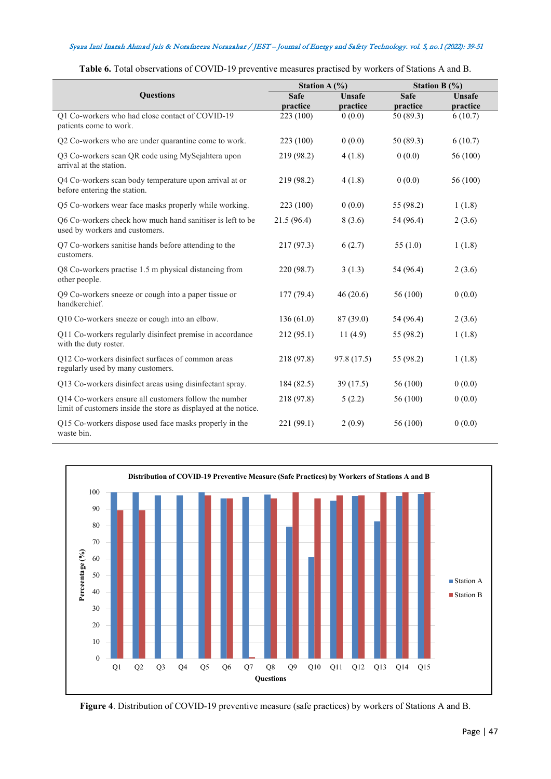|                                                                                                                          | Station A $(\% )$       |                           | Station B $(\% )$       |                    |  |
|--------------------------------------------------------------------------------------------------------------------------|-------------------------|---------------------------|-------------------------|--------------------|--|
| <b>Ouestions</b>                                                                                                         | <b>Safe</b><br>practice | <b>Unsafe</b><br>practice | <b>Safe</b><br>practice | Unsafe<br>practice |  |
| Q1 Co-workers who had close contact of COVID-19<br>patients come to work.                                                | 223 (100)               | 0(0.0)                    | 50 (89.3)               | 6(10.7)            |  |
| Q2 Co-workers who are under quarantine come to work.                                                                     | 223 (100)               | 0(0.0)                    | 50 (89.3)               | 6(10.7)            |  |
| Q3 Co-workers scan QR code using MySejahtera upon<br>arrival at the station.                                             | 219 (98.2)              | 4(1.8)                    | 0(0.0)                  | 56 (100)           |  |
| Q4 Co-workers scan body temperature upon arrival at or<br>before entering the station.                                   | 219 (98.2)              | 4(1.8)                    | 0(0.0)                  | 56 (100)           |  |
| Q5 Co-workers wear face masks properly while working.                                                                    | 223 (100)               | 0(0.0)                    | 55 (98.2)               | 1(1.8)             |  |
| Q6 Co-workers check how much hand sanitiser is left to be<br>used by workers and customers.                              | 21.5 (96.4)             | 8(3.6)                    | 54 (96.4)               | 2(3.6)             |  |
| Q7 Co-workers sanitise hands before attending to the<br>customers.                                                       | 217(97.3)               | 6(2.7)                    | 55 $(1.0)$              | 1(1.8)             |  |
| Q8 Co-workers practise 1.5 m physical distancing from<br>other people.                                                   | 220 (98.7)              | 3(1.3)                    | 54 (96.4)               | 2(3.6)             |  |
| Q9 Co-workers sneeze or cough into a paper tissue or<br>handkerchief.                                                    | 177 (79.4)              | 46(20.6)                  | 56 (100)                | 0(0.0)             |  |
| Q10 Co-workers sneeze or cough into an elbow.                                                                            | 136(61.0)               | 87 (39.0)                 | 54 (96.4)               | 2(3.6)             |  |
| Q11 Co-workers regularly disinfect premise in accordance<br>with the duty roster.                                        | 212(95.1)               | 11(4.9)                   | 55 (98.2)               | 1(1.8)             |  |
| Q12 Co-workers disinfect surfaces of common areas<br>regularly used by many customers.                                   | 218 (97.8)              | 97.8 (17.5)               | 55 (98.2)               | 1(1.8)             |  |
| Q13 Co-workers disinfect areas using disinfectant spray.                                                                 | 184(82.5)               | 39 (17.5)                 | 56 (100)                | 0(0.0)             |  |
| Q14 Co-workers ensure all customers follow the number<br>limit of customers inside the store as displayed at the notice. | 218 (97.8)              | 5(2.2)                    | 56 (100)                | 0(0.0)             |  |
| Q15 Co-workers dispose used face masks properly in the<br>waste bin.                                                     | 221 (99.1)              | 2(0.9)                    | 56 (100)                | 0(0.0)             |  |

**Table 6.** Total observations of COVID-19 preventive measures practised by workers of Stations A and B.



**Figure 4**. Distribution of COVID-19 preventive measure (safe practices) by workers of Stations A and B.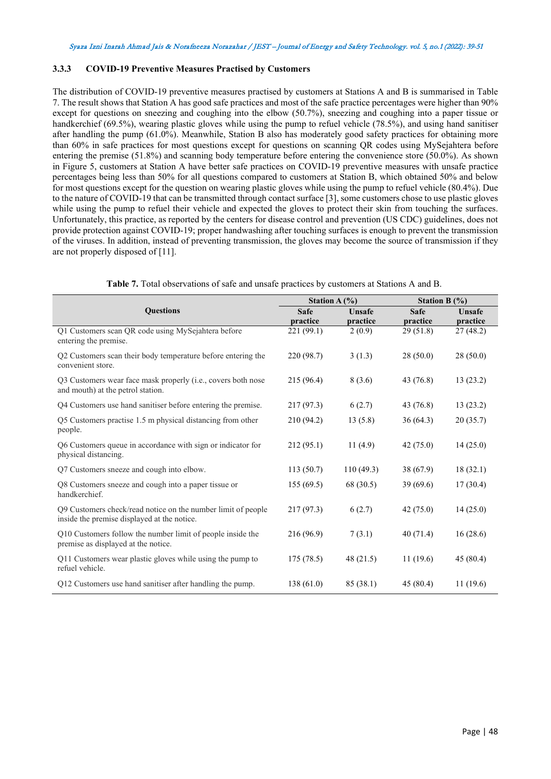## **3.3.3 COVID-19 Preventive Measures Practised by Customers**

The distribution of COVID-19 preventive measures practised by customers at Stations A and B is summarised in Table 7. The result shows that Station A has good safe practices and most of the safe practice percentages were higher than 90% except for questions on sneezing and coughing into the elbow (50.7%), sneezing and coughing into a paper tissue or handkerchief (69.5%), wearing plastic gloves while using the pump to refuel vehicle (78.5%), and using hand sanitiser after handling the pump (61.0%). Meanwhile, Station B also has moderately good safety practices for obtaining more than 60% in safe practices for most questions except for questions on scanning QR codes using MySejahtera before entering the premise (51.8%) and scanning body temperature before entering the convenience store (50.0%). As shown in Figure 5, customers at Station A have better safe practices on COVID-19 preventive measures with unsafe practice percentages being less than 50% for all questions compared to customers at Station B, which obtained 50% and below for most questions except for the question on wearing plastic gloves while using the pump to refuel vehicle (80.4%). Due to the nature of COVID-19 that can be transmitted through contact surface [3], some customers chose to use plastic gloves while using the pump to refuel their vehicle and expected the gloves to protect their skin from touching the surfaces. Unfortunately, this practice, as reported by the centers for disease control and prevention (US CDC) guidelines, does not provide protection against COVID-19; proper handwashing after touching surfaces is enough to prevent the transmission of the viruses. In addition, instead of preventing transmission, the gloves may become the source of transmission if they are not properly disposed of [11].

|                                                                                                             | Station A $(\% )$ |                           | Station B $(%)$         |                    |
|-------------------------------------------------------------------------------------------------------------|-------------------|---------------------------|-------------------------|--------------------|
| <b>Ouestions</b>                                                                                            | Safe<br>practice  | <b>Unsafe</b><br>practice | <b>Safe</b><br>practice | Unsafe<br>practice |
| Q1 Customers scan QR code using MySejahtera before<br>entering the premise.                                 | 221 (99.1)        | 2(0.9)                    | 29(51.8)                | 27(48.2)           |
| Q2 Customers scan their body temperature before entering the<br>convenient store.                           | 220 (98.7)        | 3(1.3)                    | 28(50.0)                | 28(50.0)           |
| Q3 Customers wear face mask properly (i.e., covers both nose<br>and mouth) at the petrol station.           | 215 (96.4)        | 8(3.6)                    | 43 (76.8)               | 13(23.2)           |
| Q4 Customers use hand sanitiser before entering the premise.                                                | 217 (97.3)        | 6(2.7)                    | 43 (76.8)               | 13(23.2)           |
| Q5 Customers practise 1.5 m physical distancing from other<br>people.                                       | 210 (94.2)        | 13(5.8)                   | 36(64.3)                | 20(35.7)           |
| Q6 Customers queue in accordance with sign or indicator for<br>physical distancing.                         | 212(95.1)         | 11(4.9)                   | 42(75.0)                | 14(25.0)           |
| Q7 Customers sneeze and cough into elbow.                                                                   | 113(50.7)         | 110(49.3)                 | 38 (67.9)               | 18(32.1)           |
| Q8 Customers sneeze and cough into a paper tissue or<br>handkerchief.                                       | 155(69.5)         | 68 (30.5)                 | 39(69.6)                | 17(30.4)           |
| Q9 Customers check/read notice on the number limit of people<br>inside the premise displayed at the notice. | 217(97.3)         | 6(2.7)                    | 42(75.0)                | 14(25.0)           |
| Q10 Customers follow the number limit of people inside the<br>premise as displayed at the notice.           | 216 (96.9)        | 7(3.1)                    | 40(71.4)                | 16(28.6)           |
| Q11 Customers wear plastic gloves while using the pump to<br>refuel vehicle.                                | 175(78.5)         | 48 $(21.5)$               | 11(19.6)                | 45 (80.4)          |
| Q12 Customers use hand sanitiser after handling the pump.                                                   | 138(61.0)         | 85(38.1)                  | 45(80.4)                | 11(19.6)           |

|  | <b>Table 7.</b> Total observations of safe and unsafe practices by customers at Stations A and B. |  |  |  |  |  |
|--|---------------------------------------------------------------------------------------------------|--|--|--|--|--|
|  |                                                                                                   |  |  |  |  |  |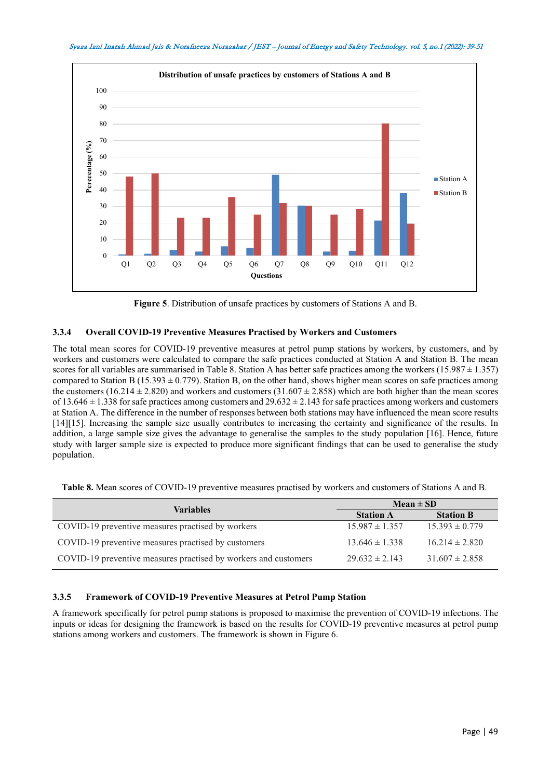



**Figure 5**. Distribution of unsafe practices by customers of Stations A and B.

## **3.3.4 Overall COVID-19 Preventive Measures Practised by Workers and Customers**

The total mean scores for COVID-19 preventive measures at petrol pump stations by workers, by customers, and by workers and customers were calculated to compare the safe practices conducted at Station A and Station B. The mean scores for all variables are summarised in Table 8. Station A has better safe practices among the workers (15.987  $\pm$  1.357) compared to Station B (15.393  $\pm$  0.779). Station B, on the other hand, shows higher mean scores on safe practices among the customers (16.214  $\pm$  2.820) and workers and customers (31.607  $\pm$  2.858) which are both higher than the mean scores of  $13.646 \pm 1.338$  for safe practices among customers and  $29.632 \pm 2.143$  for safe practices among workers and customers at Station A. The difference in the number of responses between both stations may have influenced the mean score results [14][15]. Increasing the sample size usually contributes to increasing the certainty and significance of the results. In addition, a large sample size gives the advantage to generalise the samples to the study population [16]. Hence, future study with larger sample size is expected to produce more significant findings that can be used to generalise the study population.

|  | Table 8. Mean scores of COVID-19 preventive measures practised by workers and customers of Stations A and B. |  |  |  |
|--|--------------------------------------------------------------------------------------------------------------|--|--|--|
|--|--------------------------------------------------------------------------------------------------------------|--|--|--|

| <b>Variables</b>                                                | $Mean \pm SD$      |                    |  |  |
|-----------------------------------------------------------------|--------------------|--------------------|--|--|
|                                                                 | <b>Station A</b>   | <b>Station B</b>   |  |  |
| COVID-19 preventive measures practised by workers               | $15.987 \pm 1.357$ | $15.393 \pm 0.779$ |  |  |
| COVID-19 preventive measures practised by customers             | $13.646 \pm 1.338$ | $16.214 \pm 2.820$ |  |  |
| COVID-19 preventive measures practised by workers and customers | $29.632 \pm 2.143$ | $31.607 \pm 2.858$ |  |  |

# **3.3.5 Framework of COVID-19 Preventive Measures at Petrol Pump Station**

A framework specifically for petrol pump stations is proposed to maximise the prevention of COVID-19 infections. The inputs or ideas for designing the framework is based on the results for COVID-19 preventive measures at petrol pump stations among workers and customers. The framework is shown in Figure 6.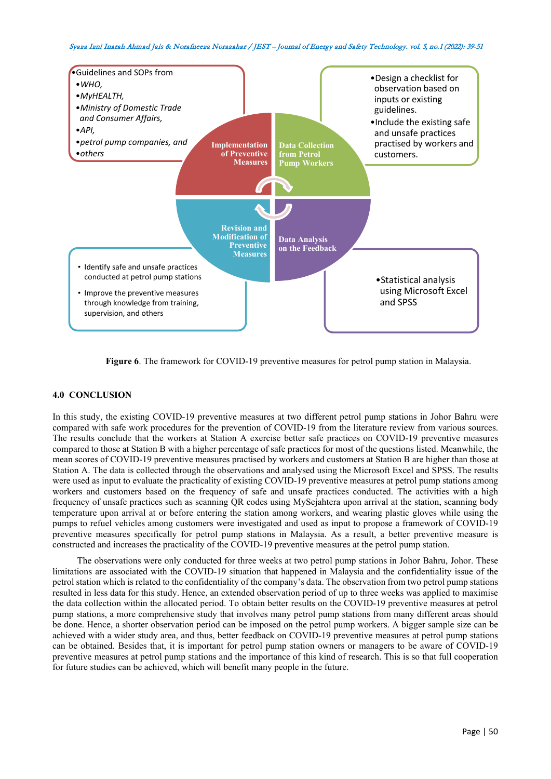

**Figure 6**. The framework for COVID-19 preventive measures for petrol pump station in Malaysia.

## **4.0 CONCLUSION**

In this study, the existing COVID-19 preventive measures at two different petrol pump stations in Johor Bahru were compared with safe work procedures for the prevention of COVID-19 from the literature review from various sources. The results conclude that the workers at Station A exercise better safe practices on COVID-19 preventive measures compared to those at Station B with a higher percentage of safe practices for most of the questions listed. Meanwhile, the mean scores of COVID-19 preventive measures practised by workers and customers at Station B are higher than those at Station A. The data is collected through the observations and analysed using the Microsoft Excel and SPSS. The results were used as input to evaluate the practicality of existing COVID-19 preventive measures at petrol pump stations among workers and customers based on the frequency of safe and unsafe practices conducted. The activities with a high frequency of unsafe practices such as scanning QR codes using MySejahtera upon arrival at the station, scanning body temperature upon arrival at or before entering the station among workers, and wearing plastic gloves while using the pumps to refuel vehicles among customers were investigated and used as input to propose a framework of COVID-19 preventive measures specifically for petrol pump stations in Malaysia. As a result, a better preventive measure is constructed and increases the practicality of the COVID-19 preventive measures at the petrol pump station.

The observations were only conducted for three weeks at two petrol pump stations in Johor Bahru, Johor. These limitations are associated with the COVID-19 situation that happened in Malaysia and the confidentiality issue of the petrol station which is related to the confidentiality of the company's data. The observation from two petrol pump stations resulted in less data for this study. Hence, an extended observation period of up to three weeks was applied to maximise the data collection within the allocated period. To obtain better results on the COVID-19 preventive measures at petrol pump stations, a more comprehensive study that involves many petrol pump stations from many different areas should be done. Hence, a shorter observation period can be imposed on the petrol pump workers. A bigger sample size can be achieved with a wider study area, and thus, better feedback on COVID-19 preventive measures at petrol pump stations can be obtained. Besides that, it is important for petrol pump station owners or managers to be aware of COVID-19 preventive measures at petrol pump stations and the importance of this kind of research. This is so that full cooperation for future studies can be achieved, which will benefit many people in the future.